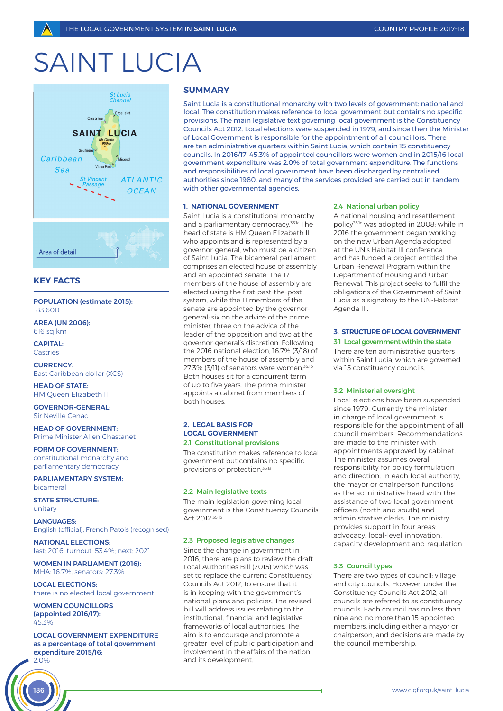# SAINT I UCIA



# **KEY FACTS**

# POPULATION (estimate 2015): 183,600

AREA (UN 2006): 616 sq km

CAPITAL: **Castries** 

CURRENCY: East Caribbean dollar (XC\$)

HEAD OF STATE: HM Queen Elizabeth II

GOVERNOR-GENERAL: Sir Neville Cenac

HEAD OF GOVERNMENT: Prime Minister Allen Chastanet

FORM OF GOVERNMENT: constitutional monarchy and parliamentary democracy

PARLIAMENTARY SYSTEM: bicameral

STATE STRUCTURE: unitary

LANGUAGES: English (official), French Patois (recognised)

NATIONAL ELECTIONS: last: 2016, turnout: 53.4%; next: 2021

WOMEN IN PARLIAMENT (2016): MHA: 16.7%, senators: 27.3%

LOCAL ELECTIONS: there is no elected local government

WOMEN COUNCILLORS (appointed 2016/17):  $45.306$ 

186

LOCAL GOVERNMENT EXPENDITURE as a percentage of total government expenditure 2015/16: 2.0%

# **SUMMARY**

Saint Lucia is a constitutional monarchy with two levels of government: national and local. The constitution makes reference to local government but contains no specific provisions. The main legislative text governing local government is the Constituency Councils Act 2012. Local elections were suspended in 1979, and since then the Minister of Local Government is responsible for the appointment of all councillors. There are ten administrative quarters within Saint Lucia, which contain 15 constituency councils. In 2016/17, 45.3% of appointed councillors were women and in 2015/16 local government expenditure was 2.0% of total government expenditure. The functions and responsibilities of local government have been discharged by centralised authorities since 1980, and many of the services provided are carried out in tandem with other governmental agencies.

# **1. NATIONAL GOVERNMENT**

Saint Lucia is a constitutional monarchy and a parliamentary democracy.35.1a The head of state is HM Queen Elizabeth II who appoints and is represented by a governor-general, who must be a citizen of Saint Lucia. The bicameral parliament comprises an elected house of assembly and an appointed senate. The 17 members of the house of assembly are elected using the first-past-the-post system, while the 11 members of the senate are appointed by the governorgeneral; six on the advice of the prime minister, three on the advice of the leader of the opposition and two at the governor-general's discretion. Following the 2016 national election, 16.7% (3/18) of members of the house of assembly and 27.3% (3/11) of senators were women.35.1b Both houses sit for a concurrent term of up to five years. The prime minister appoints a cabinet from members of both houses.

# **2. LEGAL BASIS FOR LOCAL GOVERNMENT**

## 2.1 Constitutional provisions

The constitution makes reference to local government but contains no specific provisions or protection.35.1a

#### 2.2 Main legislative texts

The main legislation governing local government is the Constituency Councils Act 2012.35.1b

## 2.3 Proposed legislative changes

Since the change in government in 2016, there are plans to review the draft Local Authorities Bill (2015) which was set to replace the current Constituency Councils Act 2012, to ensure that it is in keeping with the government's national plans and policies. The revised bill will address issues relating to the institutional, financial and legislative frameworks of local authorities. The aim is to encourage and promote a greater level of public participation and involvement in the affairs of the nation and its development.

#### 2.4 National urban policy

A national housing and resettlement policy35.1c was adopted in 2008; while in 2016 the government began working on the new Urban Agenda adopted at the UN's Habitat III conference and has funded a project entitled the Urban Renewal Program within the Department of Housing and Urban Renewal. This project seeks to fulfil the obligations of the Government of Saint Lucia as a signatory to the UN-Habitat Agenda III.

## **3. STRUCTURE OF LOCAL GOVERNMENT** 3.1 Local government within the state

There are ten administrative quarters within Saint Lucia, which are governed via 15 constituency councils.

#### 3.2 Ministerial oversight

Local elections have been suspended since 1979. Currently the minister in charge of local government is responsible for the appointment of all council members. Recommendations are made to the minister with appointments approved by cabinet. The minister assumes overall responsibility for policy formulation and direction. In each local authority, the mayor or chairperson functions as the administrative head with the assistance of two local government officers (north and south) and administrative clerks. The ministry provides support in four areas: advocacy, local-level innovation, capacity development and regulation.

## 3.3 Council types

There are two types of council: village and city councils. However, under the Constituency Councils Act 2012, all councils are referred to as constituency councils. Each council has no less than nine and no more than 15 appointed members, including either a mayor or chairperson, and decisions are made by the council membership.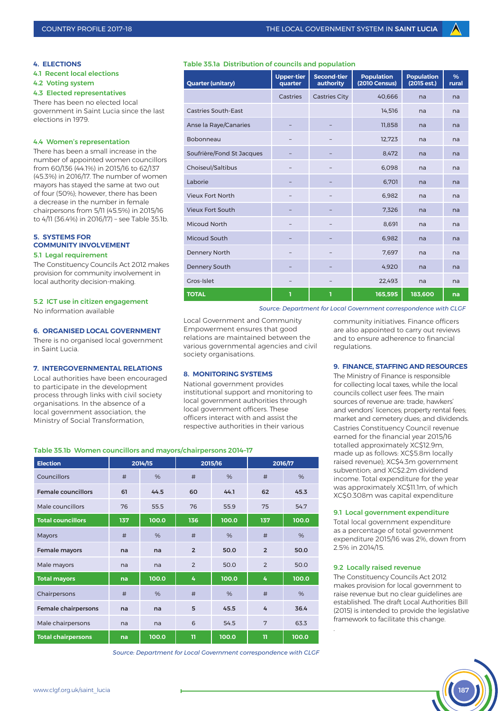## **4. ELECTIONS**

4.1 Recent local elections

4.2 Voting system

## 4.3 Elected representatives

There has been no elected local government in Saint Lucia since the last elections in 1979.

## 4.4 Women's representation

There has been a small increase in the number of appointed women councillors from 60/136 (44.1%) in 2015/16 to 62/137 (45.3%) in 2016/17. The number of women mayors has stayed the same at two out of four (50%); however, there has been a decrease in the number in female chairpersons from 5/11 (45.5%) in 2015/16 to 4/11 (36.4%) in 2016/17) – see Table 35.1b.

## **5. SYSTEMS FOR COMMUNITY INVOLVEMENT** 5.1 Legal requirement

The Constituency Councils Act 2012 makes provision for community involvement in local authority decision-making.

## 5.2 ICT use in citizen engagement

No information available

# **6. ORGANISED LOCAL GOVERNMENT**

There is no organised local government in Saint Lucia.

# **7. INTERGOVERNMENTAL RELATIONS**

Local authorities have been encouraged to participate in the development process through links with civil society organisations. In the absence of a local government association, the Ministry of Social Transformation,

# Table 35.1a Distribution of councils and population

| <b>Quarter (unitary)</b>   | <b>Upper-tier</b><br>quarter | <b>Second-tier</b><br>authority | <b>Population</b><br><b>(2010 Census)</b> | <b>Population</b><br>(2015 est.) | %<br>rural |
|----------------------------|------------------------------|---------------------------------|-------------------------------------------|----------------------------------|------------|
|                            | Castries                     | <b>Castries City</b>            | 40,666                                    | na                               | na         |
| <b>Castries South-East</b> |                              |                                 | 14,516                                    | na                               | na         |
| Anse la Raye/Canaries      |                              |                                 | 11,858                                    | na                               | na         |
| Bobonneau                  |                              |                                 | 12,723                                    | na                               | na         |
| Soufrière/Fond St Jacques  |                              |                                 | 8,472                                     | na                               | na         |
| Choiseul/Saltibus          |                              |                                 | 6,098                                     | na                               | na         |
| Laborie                    |                              |                                 | 6,701                                     | na                               | na         |
| <b>Vieux Fort North</b>    |                              |                                 | 6,982                                     | na                               | na         |
| <b>Vieux Fort South</b>    |                              |                                 | 7,326                                     | na                               | na         |
| <b>Micoud North</b>        |                              |                                 | 8,691                                     | na                               | na         |
| Micoud South               |                              |                                 | 6,982                                     | na                               | na         |
| <b>Dennery North</b>       |                              |                                 | 7,697                                     | na                               | na         |
| <b>Dennery South</b>       |                              |                                 | 4,920                                     | na                               | na         |
| Gros-Islet                 |                              |                                 | 22,493                                    | na                               | na         |
| <b>TOTAL</b>               | ī                            | ı                               | 165,595                                   | 183,600                          | na         |

*Source: Department for Local Government correspondence with CLGF*

Local Government and Community Empowerment ensures that good relations are maintained between the various governmental agencies and civil society organisations.

## **8. MONITORING SYSTEMS**

National government provides institutional support and monitoring to local government authorities through local government officers. These officers interact with and assist the respective authorities in their various

community initiatives. Finance officers are also appointed to carry out reviews and to ensure adherence to financial regulations.

## **9. FINANCE, STAFFING AND RESOURCES**

The Ministry of Finance is responsible for collecting local taxes, while the local councils collect user fees. The main sources of revenue are: trade, hawkers' and vendors' licences; property rental fees; market and cemetery dues; and dividends. Castries Constituency Council revenue earned for the financial year 2015/16 totalled approximately XC\$12.9m, made up as follows: XC\$5.8m locally raised revenue); XC\$4.3m government subvention; and XC\$2.2m dividend income. Total expenditure for the year was approximately XC\$11.1m, of which XC\$0.308m was capital expenditure

## 9.1 Local government expenditure

Total local government expenditure as a percentage of total government expenditure 2015/16 was 2%, down from 2.5% in 2014/15.

## 9.2 Locally raised revenue

.

The Constituency Councils Act 2012 makes provision for local government to raise revenue but no clear guidelines are established. The draft Local Authorities Bill (2015) is intended to provide the legislative framework to facilitate this change.



| Councillors                | #   | %     | #               | %     | #              | %     |
|----------------------------|-----|-------|-----------------|-------|----------------|-------|
| <b>Female councillors</b>  | 61  | 44.5  | 60              | 44.1  | 62             | 45.3  |
| Male councillors           | 76  | 55.5  | 76              | 55.9  | 75             | 54.7  |
| <b>Total councillors</b>   | 137 | 100.0 | 136             | 100.0 | 137            | 100.0 |
| <b>Mayors</b>              | #   | %     | #               | %     | #              | %     |
| Female mayors              | na  | na    | $\overline{2}$  | 50.0  | $\overline{2}$ | 50.0  |
| Male mayors                | na  | na    | $\overline{2}$  | 50.0  | $\mathcal{P}$  | 50 Q  |
| <b>Total mayors</b>        | na  | 100.0 | 4               | 100.0 | 4              | 100.0 |
| Chairpersons               | #   | %     | #               | %     | #              | %     |
| <b>Female chairpersons</b> | na  | na    | 5               | 45.5  | 4              | 36.4  |
| Male chairpersons          | na  | na    | $6\overline{6}$ | 54.5  | 7              | 63.3  |
| <b>Total chairpersons</b>  | na  | 100.0 | 11              | 100.0 | $\mathbf{u}$   | 100.0 |

**Election 2014/15 2015/16 2016/17**

Table 35.1b Women councillors and mayors/chairpersons 2014–17

*Source: Department for Local Government correspondence with CLGF*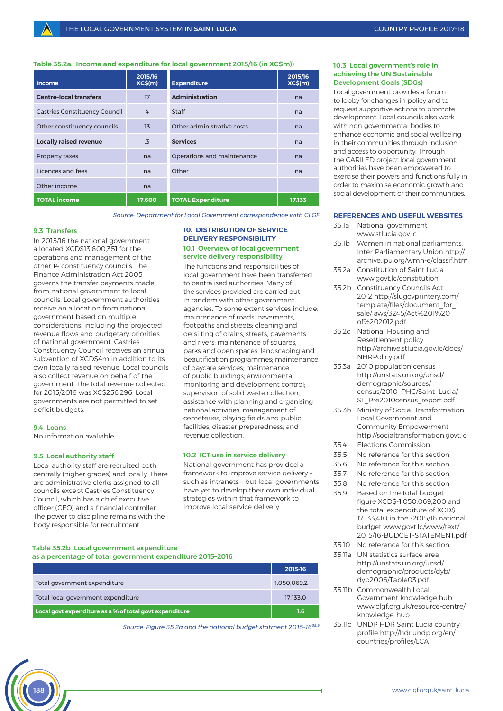# Table 35.2a. Income and expenditure for local government 2015/16 (in XC\$m))

| <b>Income</b>                        | 2015/16<br>XCS(m) | <b>Expenditure</b>         | 2015/16<br>XCS(m) |
|--------------------------------------|-------------------|----------------------------|-------------------|
| <b>Centre-local transfers</b>        | 17                | <b>Administration</b>      | na                |
| <b>Castries Constituency Council</b> | $\overline{4}$    | <b>Staff</b>               | na                |
| Other constituency councils          | 13                | Other administrative costs | na                |
| <b>Locally raised revenue</b>        | .3                | <b>Services</b>            | na                |
| Property taxes                       | na                | Operations and maintenance | na                |
| Licences and fees                    | na                | Other                      | na                |
| Other income                         | na                |                            |                   |
| <b>TOTAL income</b>                  | 17.600            | <b>TOTAL Expenditure</b>   | 17.133            |

*Source: Department for Local Government correspondence with CLGF*

#### 9.3 Transfers

In 2015/16 the national government allocated XCD\$13,600,351 for the operations and management of the other 14 constituency councils. The Finance Administration Act 2005 governs the transfer payments made from national government to local councils. Local government authorities receive an allocation from national government based on multiple considerations, including the projected revenue flows and budgetary priorities of national government. Castries Constituency Council receives an annual subvention of XCD\$4m in addition to its own locally raised revenue. Local councils also collect revenue on behalf of the government. The total revenue collected for 2015/2016 was XC\$256,296. Local governments are not permitted to set deficit budgets.

## 9.4 Loans

No information avaliable.

## 9.5 Local authority staff

Local authority staff are recruited both centrally (higher grades) and locally. There are administrative clerks assigned to all councils except Castries Constituency Council, which has a chief executive officer (CEO) and a financial controller. The power to discipline remains with the body responsible for recruitment.

## **10. DISTRIBUTION OF SERVICE DELIVERY RESPONSIBILITY** 10.1 Overview of local government service delivery responsibility

The functions and responsibilities of local government have been transferred to centralised authorities. Many of the services provided are carried out in tandem with other government agencies. To some extent services include: maintenance of roads, pavements, footpaths and streets; cleaning and de-silting of drains, streets, pavements and rivers; maintenance of squares, parks and open spaces; landscaping and beautification programmes; maintenance of daycare services; maintenance of public buildings; environmental monitoring and development control; supervision of solid waste collection; assistance with planning and organising national activities; management of cemeteries, playing fields and public facilities; disaster preparedness; and revenue collection.

## 10.2 ICT use in service delivery

National government has provided a framework to improve service delivery – such as intranets – but local governments have yet to develop their own individual strategies within that framework to improve local service delivery.

#### Table 35.2b Local government expenditure

#### as a percentage of total government expenditure 2015–2016

|                                                         | 2015-16     |
|---------------------------------------------------------|-------------|
| Total government expenditure                            | 1.050.069.2 |
| Total local government expenditure                      | 17.133.0    |
| Local govt expenditure as a % of total govt expenditure | 1.6         |

*Source: Figure 35.2a and the national budget statment 2015-1635.9*

## 10.3 Local government's role in achieving the UN Sustainable Development Goals (SDGs)

Local government provides a forum to lobby for changes in policy and to request supportive actions to promote development. Local councils also work with non-governmental bodies to enhance economic and social wellbeing in their communities through inclusion and access to opportunity. Through the CARILED project local government authorities have been empowered to exercise their powers and functions fully in order to maximise economic growth and social development of their communities.

#### **REFERENCES AND USEFUL WEBSITES**

- 35.1a National government www.stlucia.gov.lc
- 35.1b Women in national parliaments. Inter-Parliamentary Union http:// archive.ipu.org/wmn-e/classif.htm
- 35.2a Constitution of Saint Lucia www.govt.lc/constitution
- 35.2b Constituency Councils Act 2012 http://slugovprintery.com/ template/files/document\_for sale/laws/3245/Act%201%20 of%202012.pdf
- 35.2c National Housing and Resettlement policy http://archive.stlucia.gov.lc/docs/ NHRPolicy.pdf
- 35.3a 2010 population census http://unstats.un.org/unsd/ demographic/sources/ census/2010\_PHC/Saint\_Lucia/ SL\_Pre2010census\_report.pdf
- 35.3b Ministry of Social Transformation, Local Government and Community Empowerment http://socialtransformation.govt.lc
- 35.4 Elections Commission
- 35.5 No reference for this section
- 35.6 No reference for this section
- 35.7 No reference for this section
- 35.8 No reference for this section
- 35.9 Based on the total budget figure XCD\$-1,050,069,200 and the total expenditure of XCD\$ 17,133,410 in the -2015/16 national budget www.govt.lc/www/text/- 2015/16-BUDGET-STATEMENT.pdf
- 35.10 No reference for this section
- 35.11a UN statistics surface area http://unstats.un.org/unsd/ demographic/products/dyb/ dyb2006/Table03.pdf
- 35.11b Commonwealth Local Government knowledge hub www.clgf.org.uk/resource-centre/ knowledge-hub
- 35.11c UNDP HDR Saint Lucia country profile http://hdr.undp.org/en/ countries/profiles/LCA